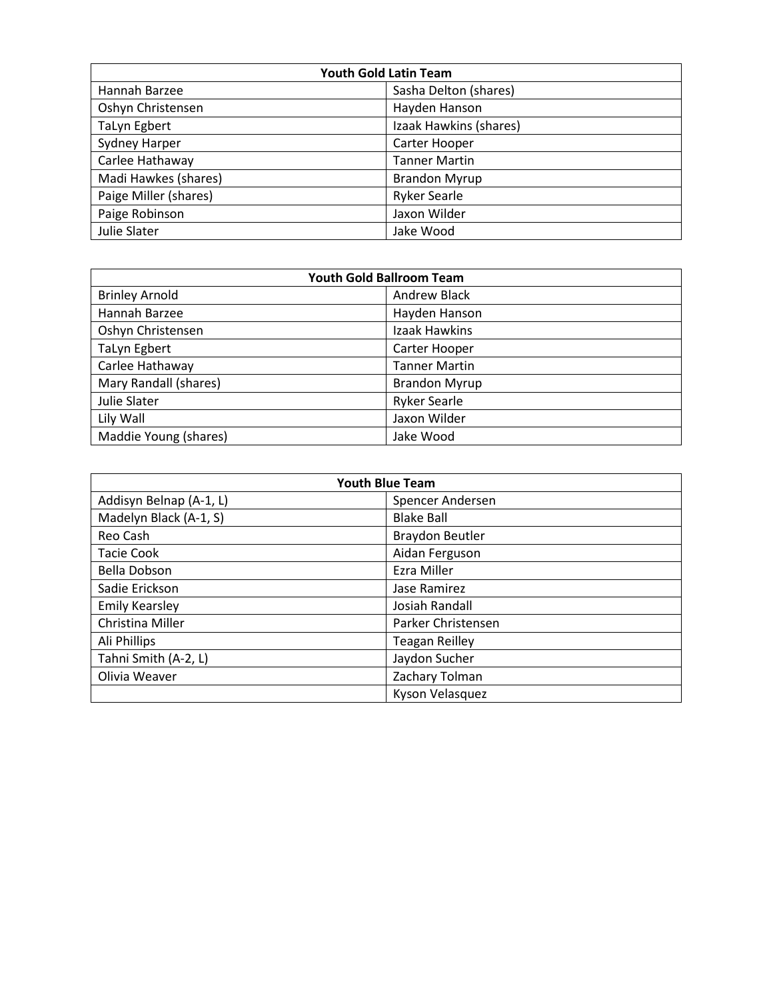| <b>Youth Gold Latin Team</b> |                        |
|------------------------------|------------------------|
| Hannah Barzee                | Sasha Delton (shares)  |
| Oshyn Christensen            | Hayden Hanson          |
| <b>TaLyn Egbert</b>          | Izaak Hawkins (shares) |
| <b>Sydney Harper</b>         | Carter Hooper          |
| Carlee Hathaway              | <b>Tanner Martin</b>   |
| Madi Hawkes (shares)         | <b>Brandon Myrup</b>   |
| Paige Miller (shares)        | <b>Ryker Searle</b>    |
| Paige Robinson               | Jaxon Wilder           |
| Julie Slater                 | Jake Wood              |

| <b>Youth Gold Ballroom Team</b> |                      |
|---------------------------------|----------------------|
| <b>Brinley Arnold</b>           | Andrew Black         |
| Hannah Barzee                   | Hayden Hanson        |
| Oshyn Christensen               | Izaak Hawkins        |
| TaLyn Egbert                    | Carter Hooper        |
| Carlee Hathaway                 | <b>Tanner Martin</b> |
| Mary Randall (shares)           | <b>Brandon Myrup</b> |
| Julie Slater                    | <b>Ryker Searle</b>  |
| Lily Wall                       | Jaxon Wilder         |
| Maddie Young (shares)           | Jake Wood            |

| <b>Youth Blue Team</b>  |                        |
|-------------------------|------------------------|
| Addisyn Belnap (A-1, L) | Spencer Andersen       |
| Madelyn Black (A-1, S)  | <b>Blake Ball</b>      |
| Reo Cash                | <b>Braydon Beutler</b> |
| <b>Tacie Cook</b>       | Aidan Ferguson         |
| <b>Bella Dobson</b>     | <b>Ezra Miller</b>     |
| Sadie Erickson          | Jase Ramirez           |
| <b>Emily Kearsley</b>   | Josiah Randall         |
| Christina Miller        | Parker Christensen     |
| Ali Phillips            | <b>Teagan Reilley</b>  |
| Tahni Smith (A-2, L)    | Jaydon Sucher          |
| Olivia Weaver           | Zachary Tolman         |
|                         | Kyson Velasquez        |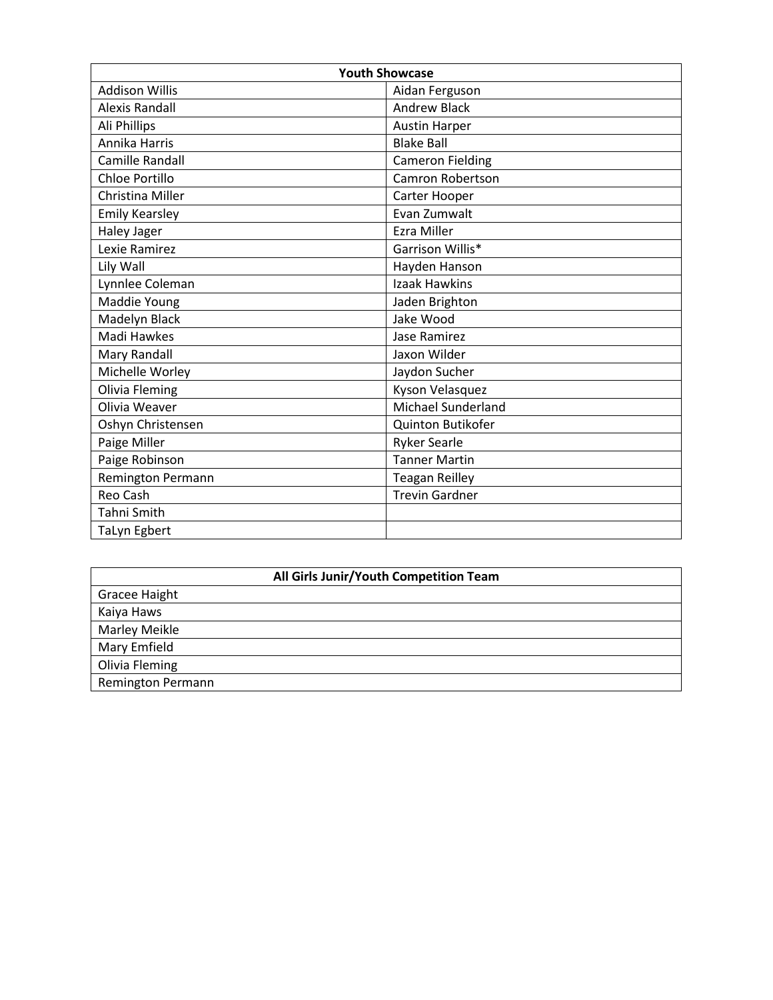| <b>Youth Showcase</b> |                           |
|-----------------------|---------------------------|
| Addison Willis        | Aidan Ferguson            |
| <b>Alexis Randall</b> | <b>Andrew Black</b>       |
| Ali Phillips          | <b>Austin Harper</b>      |
| Annika Harris         | <b>Blake Ball</b>         |
| Camille Randall       | <b>Cameron Fielding</b>   |
| Chloe Portillo        | Camron Robertson          |
| Christina Miller      | Carter Hooper             |
| <b>Emily Kearsley</b> | Evan Zumwalt              |
| Haley Jager           | <b>Ezra Miller</b>        |
| Lexie Ramirez         | Garrison Willis*          |
| Lily Wall             | Hayden Hanson             |
| Lynnlee Coleman       | Izaak Hawkins             |
| Maddie Young          | Jaden Brighton            |
| Madelyn Black         | Jake Wood                 |
| Madi Hawkes           | Jase Ramirez              |
| Mary Randall          | Jaxon Wilder              |
| Michelle Worley       | Jaydon Sucher             |
| <b>Olivia Fleming</b> | Kyson Velasquez           |
| Olivia Weaver         | <b>Michael Sunderland</b> |
| Oshyn Christensen     | Quinton Butikofer         |
| Paige Miller          | <b>Ryker Searle</b>       |
| Paige Robinson        | <b>Tanner Martin</b>      |
| Remington Permann     | <b>Teagan Reilley</b>     |
| Reo Cash              | <b>Trevin Gardner</b>     |
| Tahni Smith           |                           |
| TaLyn Egbert          |                           |

| All Girls Junir/Youth Competition Team |  |
|----------------------------------------|--|
| <b>Gracee Haight</b>                   |  |
| Kaiya Haws                             |  |
| Marley Meikle                          |  |
| Mary Emfield                           |  |
| Olivia Fleming                         |  |
| Remington Permann                      |  |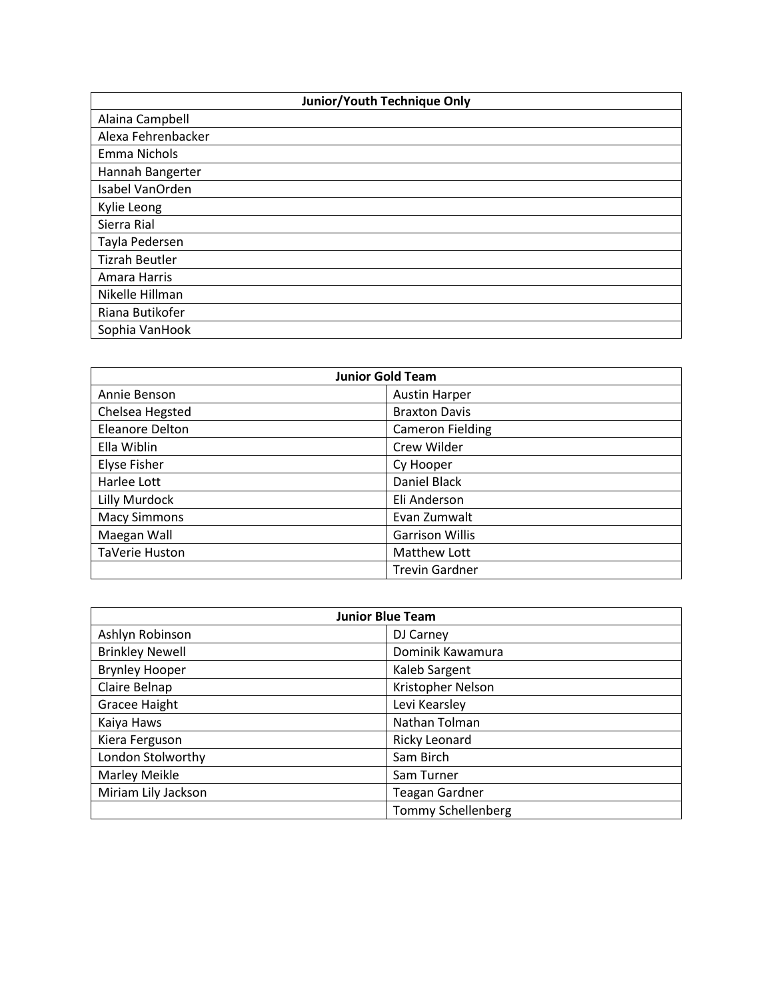| <b>Junior/Youth Technique Only</b> |  |
|------------------------------------|--|
| Alaina Campbell                    |  |
| Alexa Fehrenbacker                 |  |
| Emma Nichols                       |  |
| Hannah Bangerter                   |  |
| Isabel VanOrden                    |  |
| Kylie Leong                        |  |
| Sierra Rial                        |  |
| Tayla Pedersen                     |  |
| <b>Tizrah Beutler</b>              |  |
| Amara Harris                       |  |
| Nikelle Hillman                    |  |
| Riana Butikofer                    |  |
| Sophia VanHook                     |  |

| <b>Junior Gold Team</b> |                         |
|-------------------------|-------------------------|
| Annie Benson            | <b>Austin Harper</b>    |
| Chelsea Hegsted         | <b>Braxton Davis</b>    |
| Eleanore Delton         | <b>Cameron Fielding</b> |
| Ella Wiblin             | Crew Wilder             |
| <b>Elyse Fisher</b>     | Cy Hooper               |
| Harlee Lott             | Daniel Black            |
| Lilly Murdock           | Eli Anderson            |
| <b>Macy Simmons</b>     | Evan Zumwalt            |
| Maegan Wall             | <b>Garrison Willis</b>  |
| TaVerie Huston          | Matthew Lott            |
|                         | <b>Trevin Gardner</b>   |

| <b>Junior Blue Team</b> |                           |
|-------------------------|---------------------------|
| Ashlyn Robinson         | DJ Carney                 |
| <b>Brinkley Newell</b>  | Dominik Kawamura          |
| <b>Brynley Hooper</b>   | Kaleb Sargent             |
| Claire Belnap           | Kristopher Nelson         |
| <b>Gracee Haight</b>    | Levi Kearsley             |
| Kaiya Haws              | Nathan Tolman             |
| Kiera Ferguson          | Ricky Leonard             |
| London Stolworthy       | Sam Birch                 |
| Marley Meikle           | Sam Turner                |
| Miriam Lily Jackson     | <b>Teagan Gardner</b>     |
|                         | <b>Tommy Schellenberg</b> |